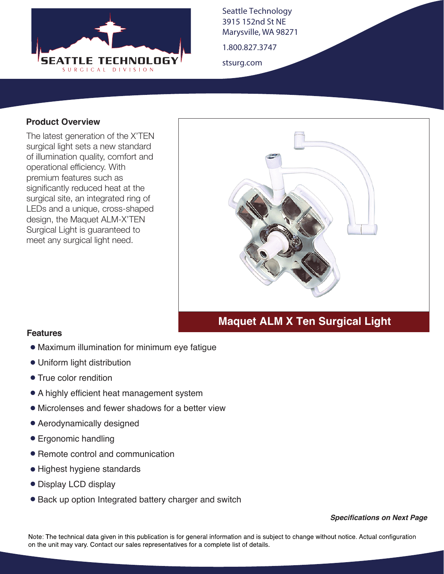

Seattle Technology 3915 152nd St NE Marysville, WA 98271

1.800.827.3747

stsurg.com

#### **Product Overview**

The latest generation of the X'TEN surgical light sets a new standard of illumination quality, comfort and operational efficiency. With premium features such as significantly reduced heat at the surgical site, an integrated ring of LEDs and a unique, cross-shaped design, the Maquet ALM-X'TEN Surgical Light is guaranteed to meet any surgical light need.



# **Maquet ALM X Ten Surgical Light**

#### **Features**

- Maximum illumination for minimum eye fatigue
- Uniform light distribution
- True color rendition
- A highly efficient heat management system
- Microlenses and fewer shadows for a better view
- Aerodynamically designed
- Ergonomic handling
- Remote control and communication
- Highest hygiene standards
- Display LCD display
- Back up option Integrated battery charger and switch

*Specifications on Next Page*

Note: The technical data given in this publication is for general information and is subject to change without notice. Actual configuration on the unit may vary. Contact our sales representatives for a complete list of details.